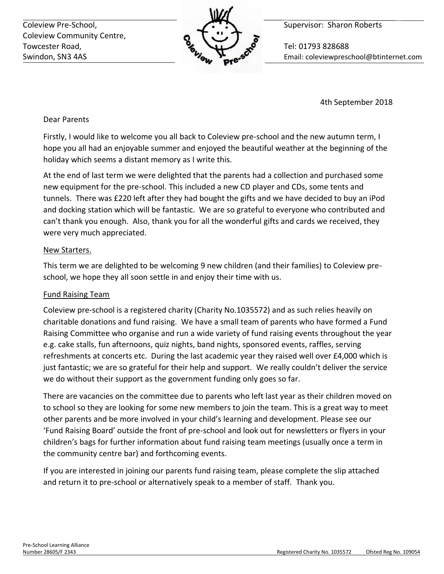Coleview Pre-School, **Supervisor: Sharon Roberts** Coleview Pre-School, Coleview Community Centre, Towcester Road, **The Contract of Tel: 01793 828688** 



Swindon, SN3 4AS Email: coleviewpreschool@btinternet.com

4th September 2018

Dear Parents

Firstly, I would like to welcome you all back to Coleview pre-school and the new autumn term, I hope you all had an enjoyable summer and enjoyed the beautiful weather at the beginning of the holiday which seems a distant memory as I write this.

At the end of last term we were delighted that the parents had a collection and purchased some new equipment for the pre-school. This included a new CD player and CDs, some tents and tunnels. There was £220 left after they had bought the gifts and we have decided to buy an iPod and docking station which will be fantastic. We are so grateful to everyone who contributed and can't thank you enough. Also, thank you for all the wonderful gifts and cards we received, they were very much appreciated.

# New Starters.

This term we are delighted to be welcoming 9 new children (and their families) to Coleview preschool, we hope they all soon settle in and enjoy their time with us.

# Fund Raising Team

Coleview pre-school is a registered charity (Charity No.1035572) and as such relies heavily on charitable donations and fund raising. We have a small team of parents who have formed a Fund Raising Committee who organise and run a wide variety of fund raising events throughout the year e.g. cake stalls, fun afternoons, quiz nights, band nights, sponsored events, raffles, serving refreshments at concerts etc. During the last academic year they raised well over £4,000 which is just fantastic; we are so grateful for their help and support. We really couldn't deliver the service we do without their support as the government funding only goes so far.

There are vacancies on the committee due to parents who left last year as their children moved on to school so they are looking for some new members to join the team. This is a great way to meet other parents and be more involved in your child's learning and development. Please see our 'Fund Raising Board' outside the front of pre-school and look out for newsletters or flyers in your children's bags for further information about fund raising team meetings (usually once a term in the community centre bar) and forthcoming events.

If you are interested in joining our parents fund raising team, please complete the slip attached and return it to pre-school or alternatively speak to a member of staff. Thank you.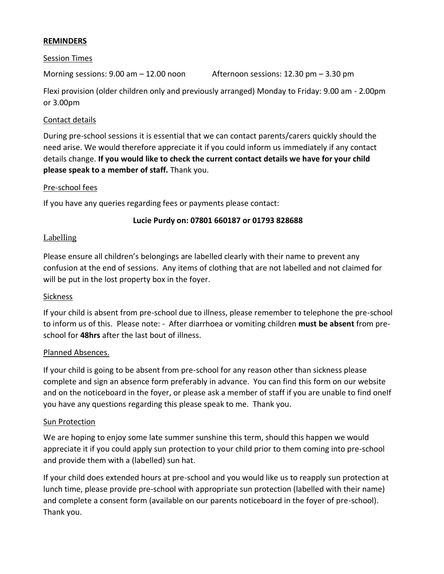## **REMINDERS**

#### Session Times

Morning sessions:  $9.00 \text{ am} - 12.00 \text{ noon}$  Afternoon sessions:  $12.30 \text{ pm} - 3.30 \text{ pm}$ 

Flexi provision (older children only and previously arranged) Monday to Friday: 9.00 am - 2.00pm or 3.00pm

## Contact details

During pre-school sessions it is essential that we can contact parents/carers quickly should the need arise. We would therefore appreciate it if you could inform us immediately if any contact details change. **If you would like to check the current contact details we have for your child please speak to a member of staff.** Thank you.

## Pre-school fees

If you have any queries regarding fees or payments please contact:

## **Lucie Purdy on: 07801 660187 or 01793 828688**

## **Labelling**

Please ensure all children's belongings are labelled clearly with their name to prevent any confusion at the end of sessions. Any items of clothing that are not labelled and not claimed for will be put in the lost property box in the foyer.

#### **Sickness**

If your child is absent from pre-school due to illness, please remember to telephone the pre-school to inform us of this. Please note: - After diarrhoea or vomiting children **must be absent** from preschool for **48hrs** after the last bout of illness.

#### Planned Absences.

If your child is going to be absent from pre-school for any reason other than sickness please complete and sign an absence form preferably in advance. You can find this form on our website and on the noticeboard in the foyer, or please ask a member of staff if you are unable to find onelf you have any questions regarding this please speak to me. Thank you.

#### Sun Protection

We are hoping to enjoy some late summer sunshine this term, should this happen we would appreciate it if you could apply sun protection to your child prior to them coming into pre-school and provide them with a (labelled) sun hat.

If your child does extended hours at pre-school and you would like us to reapply sun protection at lunch time, please provide pre-school with appropriate sun protection (labelled with their name) and complete a consent form (available on our parents noticeboard in the foyer of pre-school). Thank you.